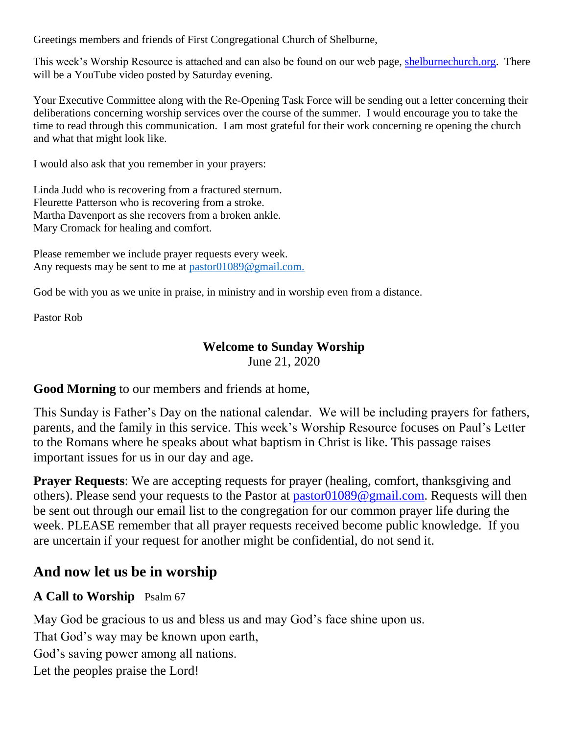Greetings members and friends of First Congregational Church of Shelburne,

This week's Worship Resource is attached and can also be found on our web page, [shelburnechurch.org.](http://shelburnechurch.org/) There will be a YouTube video posted by Saturday evening.

Your Executive Committee along with the Re-Opening Task Force will be sending out a letter concerning their deliberations concerning worship services over the course of the summer. I would encourage you to take the time to read through this communication. I am most grateful for their work concerning re opening the church and what that might look like.

I would also ask that you remember in your prayers:

Linda Judd who is recovering from a fractured sternum. Fleurette Patterson who is recovering from a stroke. Martha Davenport as she recovers from a broken ankle. Mary Cromack for healing and comfort.

Please remember we include prayer requests every week. Any requests may be sent to me at [pastor01089@gmail.com.](mailto:pastor01089@gmail.com)

God be with you as we unite in praise, in ministry and in worship even from a distance.

Pastor Rob

### **Welcome to Sunday Worship**

June 21, 2020

**Good Morning** to our members and friends at home,

This Sunday is Father's Day on the national calendar. We will be including prayers for fathers, parents, and the family in this service. This week's Worship Resource focuses on Paul's Letter to the Romans where he speaks about what baptism in Christ is like. This passage raises important issues for us in our day and age.

**Prayer Requests:** We are accepting requests for prayer (healing, comfort, thanksgiving and others). Please send your requests to the Pastor at [pastor01089@gmail.com.](mailto:pastor01089@gmail.com) Requests will then be sent out through our email list to the congregation for our common prayer life during the week. PLEASE remember that all prayer requests received become public knowledge. If you are uncertain if your request for another might be confidential, do not send it.

# **And now let us be in worship**

## **A Call to Worship** Psalm 67

May God be gracious to us and bless us and may God's face shine upon us.

That God's way may be known upon earth,

God's saving power among all nations.

Let the peoples praise the Lord!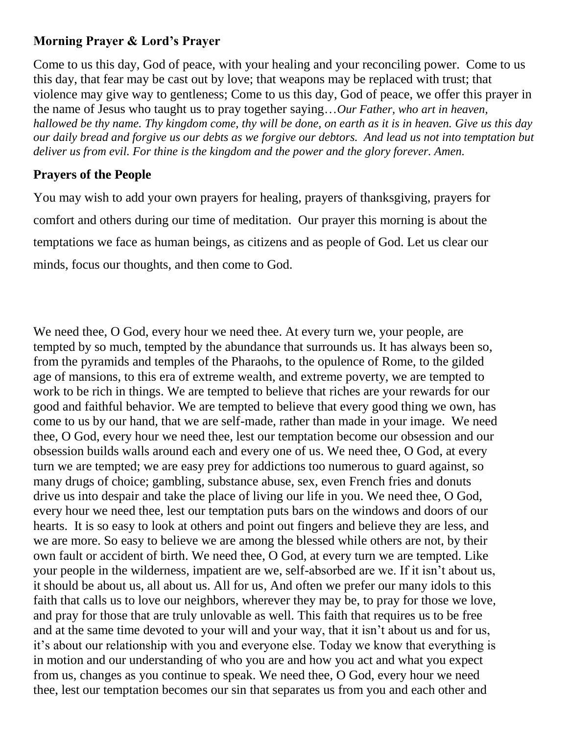# **Morning Prayer & Lord's Prayer**

Come to us this day, God of peace, with your healing and your reconciling power. Come to us this day, that fear may be cast out by love; that weapons may be replaced with trust; that violence may give way to gentleness; Come to us this day, God of peace, we offer this prayer in the name of Jesus who taught us to pray together saying…*Our Father, who art in heaven, hallowed be thy name. Thy kingdom come, thy will be done, on earth as it is in heaven. Give us this day our daily bread and forgive us our debts as we forgive our debtors. And lead us not into temptation but deliver us from evil. For thine is the kingdom and the power and the glory forever. Amen.*

# **Prayers of the People**

You may wish to add your own prayers for healing, prayers of thanksgiving, prayers for comfort and others during our time of meditation. Our prayer this morning is about the temptations we face as human beings, as citizens and as people of God. Let us clear our minds, focus our thoughts, and then come to God.

We need thee, O God, every hour we need thee. At every turn we, your people, are tempted by so much, tempted by the abundance that surrounds us. It has always been so, from the pyramids and temples of the Pharaohs, to the opulence of Rome, to the gilded age of mansions, to this era of extreme wealth, and extreme poverty, we are tempted to work to be rich in things. We are tempted to believe that riches are your rewards for our good and faithful behavior. We are tempted to believe that every good thing we own, has come to us by our hand, that we are self-made, rather than made in your image. We need thee, O God, every hour we need thee, lest our temptation become our obsession and our obsession builds walls around each and every one of us. We need thee, O God, at every turn we are tempted; we are easy prey for addictions too numerous to guard against, so many drugs of choice; gambling, substance abuse, sex, even French fries and donuts drive us into despair and take the place of living our life in you. We need thee, O God, every hour we need thee, lest our temptation puts bars on the windows and doors of our hearts. It is so easy to look at others and point out fingers and believe they are less, and we are more. So easy to believe we are among the blessed while others are not, by their own fault or accident of birth. We need thee, O God, at every turn we are tempted. Like your people in the wilderness, impatient are we, self-absorbed are we. If it isn't about us, it should be about us, all about us. All for us, And often we prefer our many idols to this faith that calls us to love our neighbors, wherever they may be, to pray for those we love, and pray for those that are truly unlovable as well. This faith that requires us to be free and at the same time devoted to your will and your way, that it isn't about us and for us, it's about our relationship with you and everyone else. Today we know that everything is in motion and our understanding of who you are and how you act and what you expect from us, changes as you continue to speak. We need thee, O God, every hour we need thee, lest our temptation becomes our sin that separates us from you and each other and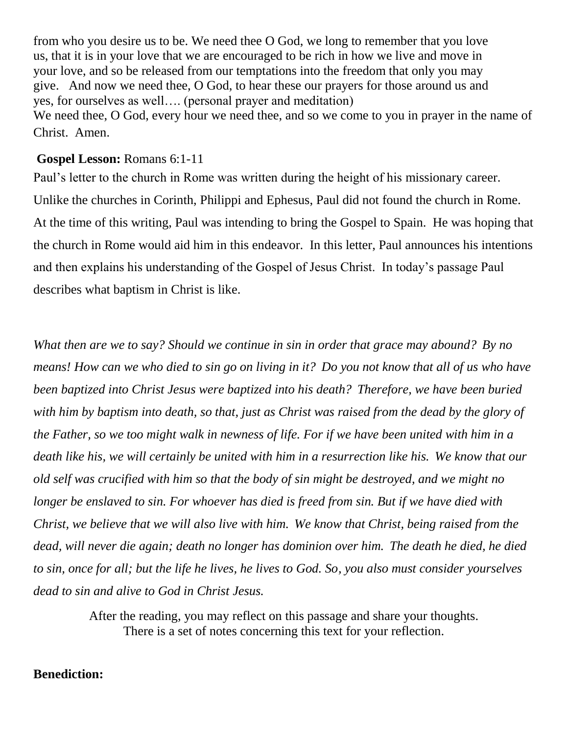from who you desire us to be. We need thee O God, we long to remember that you love us, that it is in your love that we are encouraged to be rich in how we live and move in your love, and so be released from our temptations into the freedom that only you may give. And now we need thee, O God, to hear these our prayers for those around us and yes, for ourselves as well…. (personal prayer and meditation) We need thee, O God, every hour we need thee, and so we come to you in prayer in the name of Christ. Amen.

#### **Gospel Lesson:** Romans 6:1-11

Paul's letter to the church in Rome was written during the height of his missionary career. Unlike the churches in Corinth, Philippi and Ephesus, Paul did not found the church in Rome. At the time of this writing, Paul was intending to bring the Gospel to Spain. He was hoping that the church in Rome would aid him in this endeavor. In this letter, Paul announces his intentions and then explains his understanding of the Gospel of Jesus Christ. In today's passage Paul describes what baptism in Christ is like.

*What then are we to say? Should we continue in sin in order that grace may abound? By no means! How can we who died to sin go on living in it? Do you not know that all of us who have been baptized into Christ Jesus were baptized into his death? Therefore, we have been buried with him by baptism into death, so that, just as Christ was raised from the dead by the glory of the Father, so we too might walk in newness of life. For if we have been united with him in a death like his, we will certainly be united with him in a resurrection like his. We know that our old self was crucified with him so that the body of sin might be destroyed, and we might no longer be enslaved to sin. For whoever has died is freed from sin. But if we have died with Christ, we believe that we will also live with him. We know that Christ, being raised from the dead, will never die again; death no longer has dominion over him. The death he died, he died to sin, once for all; but the life he lives, he lives to God. So, you also must consider yourselves dead to sin and alive to God in Christ Jesus.*

> After the reading, you may reflect on this passage and share your thoughts. There is a set of notes concerning this text for your reflection.

#### **Benediction:**